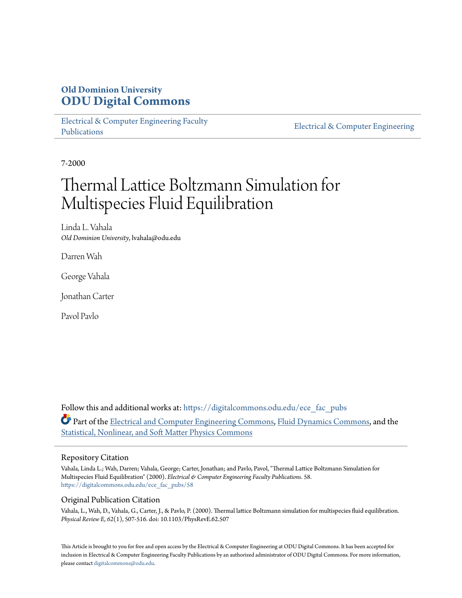# **Old Dominion University [ODU Digital Commons](https://digitalcommons.odu.edu?utm_source=digitalcommons.odu.edu%2Fece_fac_pubs%2F58&utm_medium=PDF&utm_campaign=PDFCoverPages)**

[Electrical & Computer Engineering Faculty](https://digitalcommons.odu.edu/ece_fac_pubs?utm_source=digitalcommons.odu.edu%2Fece_fac_pubs%2F58&utm_medium=PDF&utm_campaign=PDFCoverPages) [Publications](https://digitalcommons.odu.edu/ece_fac_pubs?utm_source=digitalcommons.odu.edu%2Fece_fac_pubs%2F58&utm_medium=PDF&utm_campaign=PDFCoverPages)

[Electrical & Computer Engineering](https://digitalcommons.odu.edu/ece?utm_source=digitalcommons.odu.edu%2Fece_fac_pubs%2F58&utm_medium=PDF&utm_campaign=PDFCoverPages)

7-2000

# Thermal Lattice Boltzmann Simulation for Multispecies Fluid Equilibration

Linda L. Vahala *Old Dominion University*, lvahala@odu.edu

Darren Wah

George Vahala

Jonathan Carter

Pavol Pavlo

Follow this and additional works at: [https://digitalcommons.odu.edu/ece\\_fac\\_pubs](https://digitalcommons.odu.edu/ece_fac_pubs?utm_source=digitalcommons.odu.edu%2Fece_fac_pubs%2F58&utm_medium=PDF&utm_campaign=PDFCoverPages) Part of the [Electrical and Computer Engineering Commons](http://network.bepress.com/hgg/discipline/266?utm_source=digitalcommons.odu.edu%2Fece_fac_pubs%2F58&utm_medium=PDF&utm_campaign=PDFCoverPages), [Fluid Dynamics Commons,](http://network.bepress.com/hgg/discipline/201?utm_source=digitalcommons.odu.edu%2Fece_fac_pubs%2F58&utm_medium=PDF&utm_campaign=PDFCoverPages) and the [Statistical, Nonlinear, and Soft Matter Physics Commons](http://network.bepress.com/hgg/discipline/1266?utm_source=digitalcommons.odu.edu%2Fece_fac_pubs%2F58&utm_medium=PDF&utm_campaign=PDFCoverPages)

## Repository Citation

Vahala, Linda L.; Wah, Darren; Vahala, George; Carter, Jonathan; and Pavlo, Pavol, "Thermal Lattice Boltzmann Simulation for Multispecies Fluid Equilibration" (2000). *Electrical & Computer Engineering Faculty Publications*. 58. [https://digitalcommons.odu.edu/ece\\_fac\\_pubs/58](https://digitalcommons.odu.edu/ece_fac_pubs/58?utm_source=digitalcommons.odu.edu%2Fece_fac_pubs%2F58&utm_medium=PDF&utm_campaign=PDFCoverPages)

## Original Publication Citation

Vahala, L., Wah, D., Vahala, G., Carter, J., & Pavlo, P. (2000). Thermal lattice Boltzmann simulation for multispecies fluid equilibration. *Physical Review E, 62*(1), 507-516. doi: 10.1103/PhysRevE.62.507

This Article is brought to you for free and open access by the Electrical & Computer Engineering at ODU Digital Commons. It has been accepted for inclusion in Electrical & Computer Engineering Faculty Publications by an authorized administrator of ODU Digital Commons. For more information, please contact [digitalcommons@odu.edu](mailto:digitalcommons@odu.edu).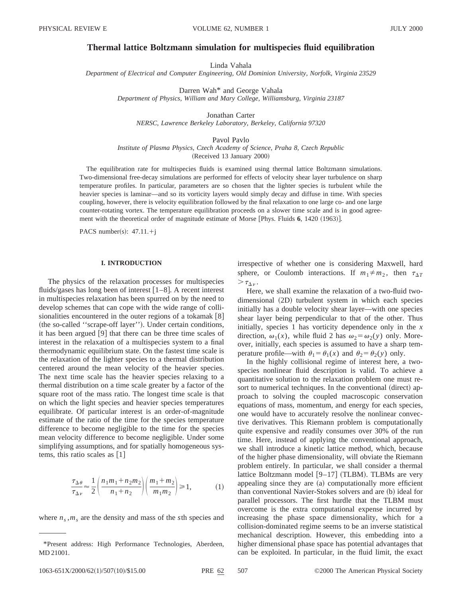#### **Thermal lattice Boltzmann simulation for multispecies fluid equilibration**

Linda Vahala

*Department of Electrical and Computer Engineering, Old Dominion University, Norfolk, Virginia 23529*

Darren Wah\* and George Vahala *Department of Physics, William and Mary College, Williamsburg, Virginia 23187*

Jonathan Carter *NERSC, Lawrence Berkeley Laboratory, Berkeley, California 97320*

Pavol Pavlo

*Institute of Plasma Physics, Czech Academy of Science, Praha 8, Czech Republic* (Received 13 January 2000)

The equilibration rate for multispecies fluids is examined using thermal lattice Boltzmann simulations. Two-dimensional free-decay simulations are performed for effects of velocity shear layer turbulence on sharp temperature profiles. In particular, parameters are so chosen that the lighter species is turbulent while the heavier species is laminar—and so its vorticity layers would simply decay and diffuse in time. With species coupling, however, there is velocity equilibration followed by the final relaxation to one large co- and one large counter-rotating vortex. The temperature equilibration proceeds on a slower time scale and is in good agreement with the theoretical order of magnitude estimate of Morse [Phys. Fluids 6, 1420 (1963)].

PACS number(s):  $47.11.+j$ 

#### **I. INTRODUCTION**

The physics of the relaxation processes for multispecies fluids/gases has long been of interest  $[1-8]$ . A recent interest in multispecies relaxation has been spurred on by the need to develop schemes that can cope with the wide range of collisionalities encountered in the outer regions of a tokamak  $|8|$ (the so-called "scrape-off layer"). Under certain conditions, it has been argued  $[9]$  that there can be three time scales of interest in the relaxation of a multispecies system to a final thermodynamic equilibrium state. On the fastest time scale is the relaxation of the lighter species to a thermal distribution centered around the mean velocity of the heavier species. The next time scale has the heavier species relaxing to a thermal distribution on a time scale greater by a factor of the square root of the mass ratio. The longest time scale is that on which the light species and heavier species temperatures equilibrate. Of particular interest is an order-of-magnitude estimate of the ratio of the time for the species temperature difference to become negligible to the time for the species mean velocity difference to become negligible. Under some simplifying assumptions, and for spatially homogeneous systems, this ratio scales as  $[1]$ 

$$
\frac{\tau_{\Delta\theta}}{\tau_{\Delta\nu}} \approx \frac{1}{2} \left( \frac{n_1 m_1 + n_2 m_2}{n_1 + n_2} \right) \left( \frac{m_1 + m_2}{m_1 m_2} \right) \ge 1, \tag{1}
$$

where  $n_s$ ,  $m_s$  are the density and mass of the *s*th species and

irrespective of whether one is considering Maxwell, hard sphere, or Coulomb interactions. If  $m_1 \neq m_2$ , then  $\tau_{\Delta T}$  $> \tau_{\Lambda v}$ .

Here, we shall examine the relaxation of a two-fluid twodimensional (2D) turbulent system in which each species initially has a double velocity shear layer—with one species shear layer being perpendicular to that of the other. Thus initially, species 1 has vorticity dependence only in the *x* direction,  $\omega_1(x)$ , while fluid 2 has  $\omega_2 = \omega_2(y)$  only. Moreover, initially, each species is assumed to have a sharp temperature profile—with  $\theta_1 = \theta_1(x)$  and  $\theta_2 = \theta_2(y)$  only.

In the highly collisional regime of interest here, a twospecies nonlinear fluid description is valid. To achieve a quantitative solution to the relaxation problem one must resort to numerical techniques. In the conventional (direct) approach to solving the coupled macroscopic conservation equations of mass, momentum, and energy for each species, one would have to accurately resolve the nonlinear convective derivatives. This Riemann problem is computationally quite expensive and readily consumes over 30% of the run time. Here, instead of applying the conventional approach, we shall introduce a kinetic lattice method, which, because of the higher phase dimensionality, will obviate the Riemann problem entirely. In particular, we shall consider a thermal lattice Boltzmann model  $[9-17]$  (TLBM). TLBMs are very appealing since they are  $(a)$  computationally more efficient than conventional Navier-Stokes solvers and are (b) ideal for parallel processors. The first hurdle that the TLBM must overcome is the extra computational expense incurred by increasing the phase space dimensionality, which for a collision-dominated regime seems to be an inverse statistical mechanical description. However, this embedding into a higher dimensional phase space has potential advantages that can be exploited. In particular, in the fluid limit, the exact

<sup>\*</sup>Present address: High Performance Technologies, Aberdeen, MD 21001.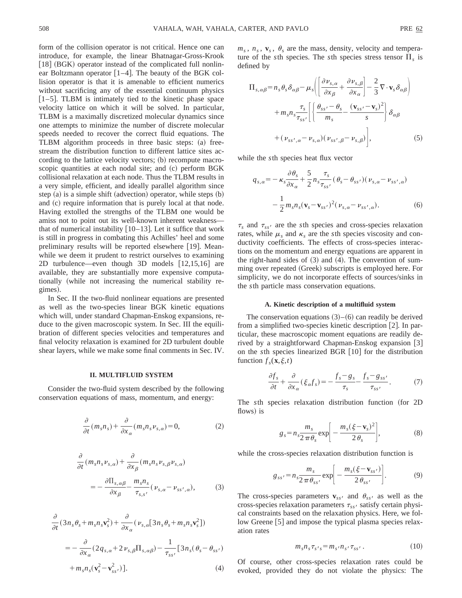form of the collision operator is not critical. Hence one can introduce, for example, the linear Bhatnagar-Gross-Krook  $[18]$  (BGK) operator instead of the complicated full nonlinear Boltzmann operator  $[1-4]$ . The beauty of the BGK collision operator is that it is amenable to efficient numerics without sacrificing any of the essential continuum physics  $[1–5]$ . TLBM is intimately tied to the kinetic phase space velocity lattice on which it will be solved. In particular, TLBM is a maximally discretized molecular dynamics since one attempts to minimize the number of discrete molecular speeds needed to recover the correct fluid equations. The TLBM algorithm proceeds in three basic steps: (a) freestream the distribution function to different lattice sites according to the lattice velocity vectors;  $(b)$  recompute macroscopic quantities at each nodal site; and (c) perform BGK collisional relaxation at each node. Thus the TLBM results in a very simple, efficient, and ideally parallel algorithm since step  $(a)$  is a simple shift  $(advection)$  operator, while steps  $(b)$ and (c) require information that is purely local at that node. Having extolled the strengths of the TLBM one would be amiss not to point out its well-known inherent weakness that of numerical instability  $[10-13]$ . Let it suffice that work is still in progress in combating this Achilles' heel and some preliminary results will be reported elsewhere [19]. Meanwhile we deem it prudent to restrict ourselves to examining 2D turbulence—even though 3D models  $[12,15,16]$  are available, they are substantially more expensive computationally (while not increasing the numerical stability regimes).

In Sec. II the two-fluid nonlinear equations are presented as well as the two-species linear BGK kinetic equations which will, under standard Chapman-Enskog expansions, reduce to the given macroscopic system. In Sec. III the equilibration of different species velocities and temperatures and final velocity relaxation is examined for 2D turbulent double shear layers, while we make some final comments in Sec. IV.

#### **II. MULTIFLUID SYSTEM**

Consider the two-fluid system described by the following conservation equations of mass, momentum, and energy:

$$
\frac{\partial}{\partial t}(m_s n_s) + \frac{\partial}{\partial x_\alpha}(m_s n_s \nu_{s,\alpha}) = 0, \tag{2}
$$

$$
\frac{\partial}{\partial t} (m_s n_s \nu_{s,\alpha}) + \frac{\partial}{\partial x_\beta} (m_s n_s \nu_{s,\beta} \nu_{s,\alpha})
$$
\n
$$
= -\frac{\partial \Pi_{s,\alpha\beta}}{\partial x_\beta} - \frac{m_s n_s}{\tau_{s,s'}} (\nu_{s,\alpha} - \nu_{ss',\alpha}), \tag{3}
$$

$$
\frac{\partial}{\partial t} (3n_s \theta_s + m_s n_s \mathbf{v}_s^2) + \frac{\partial}{\partial x_\alpha} (\nu_{s,\alpha} [3n_s \theta_s + m_s n_s \mathbf{v}_s^2])
$$
  
= 
$$
- \frac{\partial}{\partial x_\alpha} (2q_{s,\alpha} + 2\nu_{s,\beta} \Pi_{s,\alpha\beta}) - \frac{1}{\tau_{ss'}} [3n_s (\theta_s - \theta_{ss'})
$$

$$
+ m_s n_s (\mathbf{v}_s^2 - \mathbf{v}_{ss'}^2)].
$$
(4)

 $m_s$ ,  $n_s$ ,  $v_s$ ,  $\theta_s$  are the mass, density, velocity and temperature of the *s*th species. The *s*th species stress tensor  $\Pi_s$  is defined by

$$
\Pi_{s,\alpha\beta} = n_s \theta_s \delta_{\alpha\beta} - \mu_s \left( \left[ \frac{\partial \nu_{s,\alpha}}{\partial x_\beta} + \frac{\partial \nu_{s,\beta}}{\partial x_\alpha} \right] - \frac{2}{3} \nabla \cdot \mathbf{v}_s \delta_{\alpha\beta} \right) \n+ m_s n_s \frac{\tau_s}{\tau_{ss'}} \left[ \left\{ \frac{\theta_{ss'} - \theta_s}{m_s} - \frac{(\mathbf{v}_{ss'} - \mathbf{v}_s)^2}{s} \right\} \delta_{\alpha\beta} \n+ (\nu_{ss',\alpha} - \nu_{s,\alpha}) (\nu_{ss',\beta} - \nu_{s,\beta}) \right],
$$
\n(5)

while the *s*th species heat flux vector

$$
q_{s,\alpha} = -\kappa_s \frac{\partial \theta_s}{\partial x_{\alpha}} + \frac{5}{2} n_s \frac{\tau_s}{\tau_{ss'}} (\theta_s - \theta_{ss'}) (\nu_{s,\alpha} - \nu_{ss',\alpha})
$$

$$
-\frac{1}{2} m_s n_s (\mathbf{v}_s - \mathbf{v}_{ss'})^2 (\nu_{s,\alpha} - \nu_{ss',\alpha}). \tag{6}
$$

 $\tau_s$  and  $\tau_{ss}$  are the *s*th species and cross-species relaxation rates, while  $\mu_s$  and  $\kappa_s$  are the *s*th species viscosity and conductivity coefficients. The effects of cross-species interactions on the momentum and energy equations are apparent in the right-hand sides of  $(3)$  and  $(4)$ . The convention of summing over repeated (Greek) subscripts is employed here. For simplicity, we do not incorporate effects of sources/sinks in the *s*th particle mass conservation equations.

#### **A. Kinetic description of a multifluid system**

The conservation equations  $(3)$ – $(6)$  can readily be derived from a simplified two-species kinetic description  $[2]$ . In particular, these macroscopic moment equations are readily derived by a straightforward Chapman-Enskog expansion [3] on the *s*th species linearized BGR [10] for the distribution function  $f_s(\mathbf{x}, \xi, t)$ 

$$
\frac{\partial f_s}{\partial t} + \frac{\partial}{\partial x_\alpha} (\xi_\alpha f_s) = -\frac{f_s - g_s}{\tau_s} - \frac{f_s - g_{ss'}}{\tau_{ss'}}.\tag{7}
$$

The *sth* species relaxation distribution function (for 2D flows) is

$$
g_s = n_s \frac{m_s}{2 \pi \theta_s} \exp\bigg[-\frac{m_s(\xi - \mathbf{v}_s)^2}{2 \theta_s}\bigg],\tag{8}
$$

while the cross-species relaxation distribution function is

$$
g_{ss'} = n_s \frac{m_s}{2 \pi \theta_{ss'}} \exp\bigg[-\frac{m_s(\xi - \mathbf{v}_{ss'})}{2 \theta_{ss'}}\bigg]. \tag{9}
$$

The cross-species parameters  $\mathbf{v}_{ss}$  and  $\theta_{ss}$  as well as the cross-species relaxation parameters  $\tau_{ss}$  satisfy certain physical constraints based on the relaxation physics. Here, we follow Greene [5] and impose the typical plasma species relaxation rates

$$
m_s n_s \tau_{s's} = m_{s'} n_{s'} \tau_{ss'} . \qquad (10)
$$

Of course, other cross-species relaxation rates could be evoked, provided they do not violate the physics: The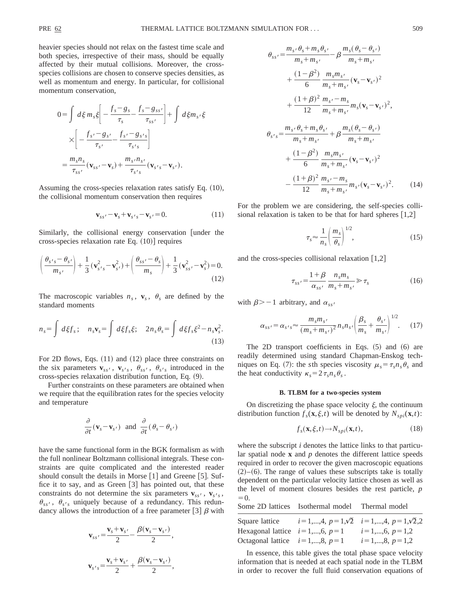heavier species should not relax on the fastest time scale and both species, irrespective of their mass, should be equally affected by their mutual collisions. Moreover, the crossspecies collisions are chosen to conserve species densities, as well as momentum and energy. In particular, for collisional momentum conservation,

$$
0 = \int d\xi m_s \xi \left[ -\frac{f_s - g_s}{\tau_s} - \frac{f_s - g_{ss'}}{\tau_{ss'}} \right] + \int d\xi m_s \cdot \xi
$$

$$
\times \left[ -\frac{f_{s'} - g_{s'}}{\tau_{s'}} - \frac{f_{s'} - g_{s's}}{\tau_{s's}} \right]
$$

$$
= \frac{m_s n_s}{\tau_{ss'}} (\mathbf{v}_{ss'} - \mathbf{v}_s) + \frac{m_s n_{s'}}{\tau_{s's}} (\mathbf{v}_{s's} - \mathbf{v}_{s'}).
$$

Assuming the cross-species relaxation rates satisfy Eq.  $(10)$ , the collisional momentum conservation then requires

$$
\mathbf{v}_{ss'} - \mathbf{v}_s + \mathbf{v}_{s's} - \mathbf{v}_{s'} = 0.
$$
 (11)

Similarly, the collisional energy conservation [under the cross-species relaxation rate Eq.  $(10)$  requires

$$
\left(\frac{\theta_{s's} - \theta_{s'}}{m_{s'}}\right) + \frac{1}{3} \left(\mathbf{v}_{s's}^2 - \mathbf{v}_{s'}^2\right) + \left(\frac{\theta_{ss'} - \theta_{s}}{m_{s}}\right) + \frac{1}{3} \left(\mathbf{v}_{ss'}^2 - \mathbf{v}_{s'}^2\right) = 0.
$$
\n(12)

The macroscopic variables  $n_s$ ,  $\mathbf{v}_s$ ,  $\theta_s$  are defined by the standard moments

$$
n_s = \int d\xi f_s; \quad n_s \mathbf{v}_s = \int d\xi f_s \xi; \quad 2n_s \theta_s = \int d\xi f_s \xi^2 - n_s \mathbf{v}_s^2. \tag{13}
$$

For 2D flows, Eqs.  $(11)$  and  $(12)$  place three constraints on the six parameters  $\mathbf{v}_{ss}$ ,  $\mathbf{v}_{s}$ ,  $\theta_{ss}$ ,  $\theta_{s}$  introduced in the cross-species relaxation distribution function, Eq.  $(9)$ .

Further constraints on these parameters are obtained when we require that the equilibration rates for the species velocity and temperature

$$
\frac{\partial}{\partial t}(\mathbf{v}_s - \mathbf{v}_{s'}) \text{ and } \frac{\partial}{\partial t}(\theta_s - \theta_{s'})
$$

have the same functional form in the BGK formalism as with the full nonlinear Boltzmann collisional integrals. These constraints are quite complicated and the interested reader should consult the details in Morse  $[1]$  and Greene  $[5]$ . Suffice it to say, and as Green  $[3]$  has pointed out, that these constraints do not determine the six parameters  $\mathbf{v}_{ss}$ ,  $\mathbf{v}_{s}$ ,  $\mathbf{v}_{s}$  $\theta_{ss}$ ,  $\theta_{s}$ , uniquely because of a redundancy. This redundancy allows the introduction of a free parameter  $[3]$   $\beta$  with

$$
\mathbf{v}_{ss'} = \frac{\mathbf{v}_s + \mathbf{v}_{s'}}{2} - \frac{\beta(\mathbf{v}_s - \mathbf{v}_{s'})}{2},
$$

$$
\mathbf{v}_{s's} = \frac{\mathbf{v}_s + \mathbf{v}_{s'}}{2} + \frac{\beta(\mathbf{v}_s - \mathbf{v}_{s'})}{2},
$$

$$
\theta_{ss'} = \frac{m_s \theta_s + m_s \theta_{s'}}{m_s + m_{s'}} - \beta \frac{m_s (\theta_s - \theta_{s'})}{m_s + m_{s'}}
$$
  
+ 
$$
\frac{(1 - \beta^2)}{6} \frac{m_s m_{s'}}{m_s + m_{s'}} (\mathbf{v}_s - \mathbf{v}_{s'})^2
$$
  
+ 
$$
\frac{(1 + \beta)^2}{12} \frac{m_{s'} - m_s}{m_s + m_{s'}} m_s (\mathbf{v}_s - \mathbf{v}_{s'})^2,
$$
  

$$
\theta_{s's} = \frac{m_{s'} \theta_s + m_s \theta_{s'}}{m_s + m_{s'}} + \beta \frac{m_s (\theta_s - \theta_{s'})}{m_s + m_{s'}}
$$
  
+ 
$$
\frac{(1 - \beta^2)}{6} \frac{m_s m_{s'}}{m_s + m_{s'}} (\mathbf{v}_s - \mathbf{v}_{s'})^2
$$
  
- 
$$
\frac{(1 + \beta)^2}{12} \frac{m_{s'} - m_s}{m_s + m_{s'}} m_{s'} (\mathbf{v}_s - \mathbf{v}_{s'})^2.
$$
(14)

For the problem we are considering, the self-species collisional relaxation is taken to be that for hard spheres  $[1,2]$ 

$$
\tau_s \approx \frac{1}{n_s} \left( \frac{m_s}{\theta_s} \right)^{1/2},\tag{15}
$$

and the cross-species collisional relaxation  $|1,2|$ 

$$
\tau_{ss'} = \frac{1+\beta}{\alpha_{ss'}} \frac{n_s m_s}{m_s + m_{s'}} \gg \tau_s \tag{16}
$$

with  $\beta$ >-1 arbitrary, and  $\alpha_{ss}$ <sup>n</sup>

$$
\alpha_{ss'} = \alpha_{s's} \approx \frac{m_s m_{s'}}{(m_s + m_{s'})^2} n_s n_{s'} \left( \frac{\beta_s}{m_s} + \frac{\theta_{s'}}{m_{s'}} \right)^{1/2} . \tag{17}
$$

The 2D transport coefficients in Eqs.  $(5)$  and  $(6)$  are readily determined using standard Chapman-Enskog techniques on Eq. (7): the *s*th species viscosity  $\mu_s = \tau_s n_s \theta_s$  and the heat conductivity  $\kappa_s = 2 \tau_s n_s \theta_s$ .

#### **B. TLBM for a two-species system**

On discretizing the phase space velocity  $\xi$ , the continuum distribution function  $f_s(\mathbf{x}, \xi, t)$  will be denoted by  $N_{\text{spl}}(\mathbf{x}, t)$ :

$$
f_s(\mathbf{x}, \xi, t) \to N_{\text{spl}}(\mathbf{x}, t), \tag{18}
$$

where the subscript *i* denotes the lattice links to that particular spatial node **x** and *p* denotes the different lattice speeds required in order to recover the given macroscopic equations  $(2)$ – $(6)$ . The range of values these subscripts take is totally dependent on the particular velocity lattice chosen as well as the level of moment closures besides the rest particle, *p*  $=0.$ 

|                                 | Some 2D lattices Isothermal model Thermal model |                                                                |
|---------------------------------|-------------------------------------------------|----------------------------------------------------------------|
|                                 |                                                 | Square lattice $i=1,,4, p=1,\sqrt{2}$ $i=1,,4, p=1,\sqrt{2},2$ |
|                                 | Hexagonal lattice $i=1,,6, p=1$                 | $i=1,,6, p=1,2$                                                |
| Octagonal lattice $i=1,,8, p=1$ |                                                 | $i=1,,8, p=1,2$                                                |

In essence, this table gives the total phase space velocity information that is needed at each spatial node in the TLBM in order to recover the full fluid conservation equations of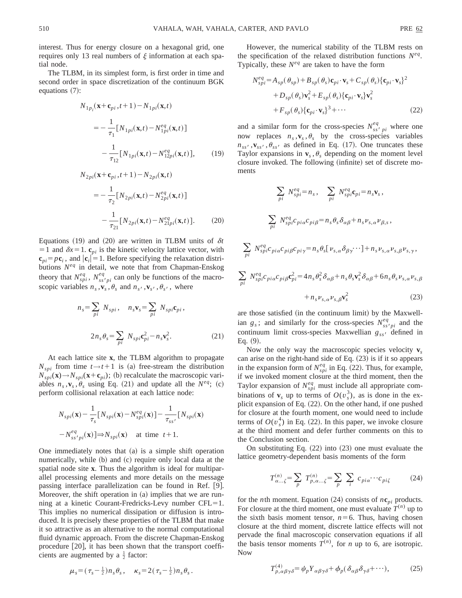interest. Thus for energy closure on a hexagonal grid, one requires only 13 real numbers of  $\xi$  information at each spatial node.

The TLBM, in its simplest form, is first order in time and second order in space discretization of the continuum BGK equations  $(7)$ :

$$
N_{1p_i}(\mathbf{x} + \mathbf{c}_{pi}, t+1) - N_{1pi}(\mathbf{x}, t)
$$
  
= 
$$
- \frac{1}{\tau_1} [N_{1pi}(\mathbf{x}, t) - N_{1pi}^{eq}(\mathbf{x}, t)]
$$

$$
- \frac{1}{\tau_{12}} [N_{1pi}(\mathbf{x}, t) - N_{12pi}^{eq}(\mathbf{x}, t)], \qquad (19)
$$

$$
N_{2pi}(\mathbf{x}+\mathbf{c}_{pi},t+1) - N_{2pi}(\mathbf{x},t)
$$
  
= 
$$
-\frac{1}{\tau_2} [N_{2pi}(\mathbf{x},t) - N_{2pi}^{eq}(\mathbf{x},t)]
$$

$$
-\frac{1}{\tau_{21}} [N_{2pi}(\mathbf{x},t) - N_{21pi}^{eq}(\mathbf{x},t)].
$$
 (20)

Equations  $(19)$  and  $(20)$  are written in TLBM units of  $\delta t$  $=$  1 and  $\delta x = 1$ .  $\mathbf{c}_{pi}$  is the kinetic velocity lattice vector, with  ${\bf c}_{pi} = p{\bf c}_i$ , and  $|{\bf c}_i|=1$ . Before specifying the relaxation distributions *Neq* in detail, we note that from Chapman-Enskog theory that  $N_{spi}^{eq}$ ,  $N_{ss'pi}^{eq}$  can only be functions of the macroscopic variables  $n_s$ ,  $\mathbf{v}_s$ ,  $\theta_s$  and  $n_{s'}$ ,  $\mathbf{v}_{s'}$ ,  $\theta_{s'}$ , where

$$
n_s = \sum_{pi} N_{spi}, \quad n_s \mathbf{v}_s = \sum_{pi} N_{spi} \mathbf{c}_{pi},
$$

$$
2n_s \theta_s = \sum_{pi} N_{spi} \mathbf{c}_{pi}^2 - n_s \mathbf{v}_s^2.
$$
(21)

At each lattice site **x**, the TLBM algorithm to propagate  $N_{\text{spl}}$  from time  $t \rightarrow t+1$  is (a) free-stream the distribution  $N_{\text{spl}}(\mathbf{x}) \rightarrow N_{\text{spl}}(\mathbf{x}+\mathbf{c}_{\text{pl}})$ ; (b) recalculate the macroscopic variables  $n_s$ ,  $\mathbf{v}_s$ ,  $\theta_s$  using Eq. (21) and update all the  $N^{eq}$ ; (c) perform collisional relaxation at each lattice node:

$$
N_{spl}(\mathbf{x}) - \frac{1}{\tau_s} [N_{spl}(\mathbf{x}) - N_{spl}^{eq}(\mathbf{x})] - \frac{1}{\tau_{ss'}} [N_{spl}(\mathbf{x}) - N_{ss'pl}^{eq}(\mathbf{x})] \Rightarrow N_{spl}(\mathbf{x}) \quad \text{at time } t+1.
$$

One immediately notes that  $(a)$  is a simple shift operation numerically, while (b) and (c) require only local data at the spatial node site **x**. Thus the algorithm is ideal for multiparallel processing elements and more details on the message passing interface parallelization can be found in Ref. [9]. Moreover, the shift operation in  $(a)$  implies that we are running at a kinetic Courant-Fredricks-Levy number  $CFL=1$ . This implies no numerical dissipation or diffusion is introduced. It is precisely these properties of the TLBM that make it so attractive as an alternative to the normal computational fluid dynamic approach. From the discrete Chapman-Enskog procedure  $[20]$ , it has been shown that the transport coefficients are augmented by a  $\frac{1}{2}$  factor:

However, the numerical stability of the TLBM rests on the specification of the relaxed distribution functions *Neq*. Typically, these  $N^{eq}$  are taken to have the form

$$
N_{spi}^{eq} = A_{sp}(\theta_{sp}) + B_{sp}(\theta_{s})\mathbf{c}_{pi} \cdot \mathbf{v}_{s} + C_{sp}(\theta_{s})\{\mathbf{c}_{pi} \cdot \mathbf{v}_{s}\}^{2}
$$

$$
+ D_{sp}(\theta_{s})\mathbf{v}_{s}^{2} + E_{sp}(\theta_{s})\{\mathbf{c}_{pi} \cdot \mathbf{v}_{s}\} \mathbf{v}_{s}^{2}
$$

$$
+ F_{sp}(\theta_{s})\{\mathbf{c}_{pi} \cdot \mathbf{v}_{s}\}^{3} + \cdots
$$
(22)

and a similar form for the cross-species  $N_{ss}^{eq}$  *pi* where one now replaces  $n_s$ ,  $\mathbf{v}_s$ ,  $\theta_s$  by the cross-species variables  $n_{ss}$ ,  $\n**v**$ <sub>ss</sub>,  $\theta_{ss}$  as defined in Eq. (17). One truncates these Taylor expansions in  $\mathbf{v}_s$ ,  $\theta_s$  depending on the moment level closure invoked. The following (infinite) set of discrete moments

$$
\sum_{pi} N_{spl}^{eq} = n_s, \quad \sum_{pi} N_{spl}^{eq} \mathbf{c}_{pi} = n_s \mathbf{v}_s,
$$
\n
$$
\sum_{pi} N_{spl}^{eq} \mathbf{c}_{pi} \mathbf{c}_{pi} \mathbf{p}_i = n_s \theta_s \delta_{\alpha\beta} + n_s \nu_{s,\alpha} \nu_{\beta,s},
$$
\n
$$
\sum_{pi} N_{spl}^{eq} \mathbf{c}_{pi} \mathbf{c}_{pi} \rho_{gl} \mathbf{c}_{pi} \mathbf{c}_{pi} \mathbf{p}_i = n_s \theta_s [ \nu_{s,\alpha} \delta_{\beta \gamma} \cdots ] + n_s \nu_{s,\alpha} \nu_{s,\beta} \nu_{s,\gamma},
$$
\n
$$
\sum_{pi} N_{spl}^{eq} \mathbf{c}_{pi} \mathbf{c}_{pi} \rho_{gl} \mathbf{c}_{pi}^2 = 4n_s \theta_s^2 \delta_{\alpha\beta} + n_s \theta_s \mathbf{v}_s^2 \delta_{\alpha\beta} + 6n_s \theta_s \nu_{s,\alpha} \nu_{s,\beta} + n_s \nu_{s,\alpha} \nu_{s,\beta} \mathbf{v}_s^2 \tag{23}
$$

are those satisfied (in the continuum limit) by the Maxwellian  $g_s$ ; and similarly for the cross-species  $N_{ss'pi}^{eq}$  and the continuum limit cross-species Maxwellian  $g_{ss}$  defined in  $Eq. (9).$ 

Now the only way the macroscopic species velocity **v***<sup>s</sup>* can arise on the right-hand side of Eq.  $(23)$  is if it so appears in the expansion form of  $N_{\text{spl}}^{\text{eq}}$  in Eq. (22). Thus, for example, if we invoked moment closure at the third moment, then the Taylor expansion of  $N_{spl}^{eq}$  must include all appropriate combinations of  $\mathbf{v}_s$  up to terms of  $O(v_s^3)$ , as is done in the explicit expansion of Eq.  $(22)$ . On the other hand, if one pushed for closure at the fourth moment, one would need to include terms of  $O(v_s^4)$  in Eq. (22). In this paper, we invoke closure at the third moment and defer further comments on this to the Conclusion section.

On substituting Eq.  $(22)$  into  $(23)$  one must evaluate the lattice geometry-dependent basis moments of the form

$$
T_{\alpha... \zeta}^{(n)} = \sum_{p} T_{p,\alpha... \zeta}^{(n)} = \sum_{p} \sum_{i} c_{p i \alpha} \cdots c_{p i \zeta} \qquad (24)
$$

for the *n*th moment. Equation (24) consists of  $n\mathbf{c}_{pi}$  products. For closure at the third moment, one must evaluate  $T^{(n)}$  up to the sixth basis moment tensor,  $n=6$ . Thus, having chosen closure at the third moment, discrete lattice effects will not pervade the final macroscopic conservation equations if all the basis tensor moments  $T^{(n)}$ , for *n* up to 6, are isotropic. Now

$$
\mu_s = (\tau_s - \frac{1}{2}) n_s \theta_s, \quad \kappa_s = 2(\tau_s - \frac{1}{2}) n_s \theta_s. \qquad T^{(4)}_{p,\alpha\beta\gamma\delta} = \psi_p Y_{\alpha\beta\gamma\delta} + \phi_p (\delta_{\alpha\beta} \delta_{\gamma\delta} + \cdots), \qquad (25)
$$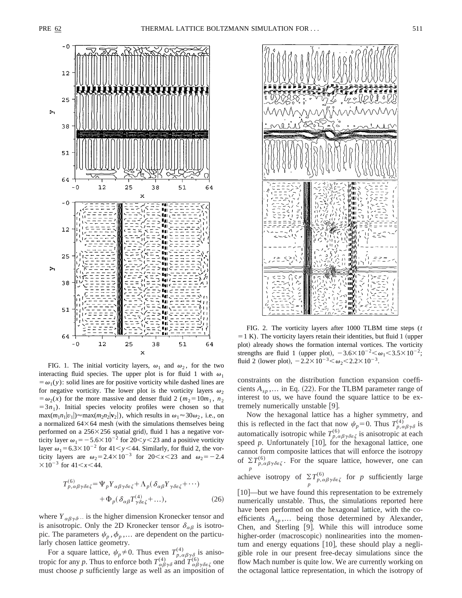

FIG. 1. The initial vorticity layers,  $\omega_1$  and  $\omega_2$ , for the two interacting fluid species. The upper plot is for fluid 1 with  $\omega_1$  $= \omega_1(y)$ : solid lines are for positive vorticity while dashed lines are for negative vorticity. The lower plot is the vorticity layers  $\omega_2$  $= \omega_2(x)$  for the more massive and denser fluid 2 ( $m_2 = 10m_1$ ,  $n_2$ )  $=3n_1$ ). Initial species velocity profiles were chosen so that  $\max(m_1n_1|v_1|) \approx \max(m_2n_2|\mathbf{v}_2|)$ , which results in  $\omega_1 \approx 30\omega_2$ , i.e., on a normalized  $64\times64$  mesh (with the simulations themselves being performed on a  $256\times256$  spatial grid), fluid 1 has a negative vorticity layer  $\omega_1 = -5.6 \times 10^{-2}$  for 20 $\lt y \lt 23$  and a positive vorticity layer  $\omega_1$ =6.3×10<sup>-2</sup> for 41<y>44. Similarly, for fluid 2, the vorticity layers are  $\omega_2 = 2.4 \times 10^{-3}$  for  $20 < x < 23$  and  $\omega_2 = -2.4$  $\times 10^{-3}$  for 41  $\lt x \lt 44$ .

$$
T_{p,\alpha\beta\gamma\delta\varepsilon\zeta}^{(6)} = \Psi_p Y_{\alpha\beta\gamma\delta\varepsilon\zeta} + \Lambda_p (\delta_{\alpha\beta} Y_{\gamma\delta\varepsilon\zeta} + \cdots) + \Phi_p (\delta_{\alpha\beta} T_{\gamma\delta\varepsilon\zeta}^{(4)} + \cdots),
$$
 (26)

where  $Y_{\alpha\beta\gamma\delta}$ . is the higher dimension Kronecker tensor and is anisotropic. Only the 2D Kronecker tensor  $\delta_{\alpha\beta}$  is isotropic. The parameters  $\psi_p$ ,  $\phi_p$ ,... are dependent on the particularly chosen lattice geometry.

For a square lattice,  $\psi_p \neq 0$ . Thus even  $T^{(4)}_{p,\alpha\beta\gamma\delta}$  is anisotropic for any *p*. Thus to enforce both  $T^{(4)}_{\alpha\beta\gamma\delta}$  and  $T^{(6)}_{\alpha\beta\gamma\delta\epsilon\zeta}$  one must choose *p* sufficiently large as well as an imposition of



FIG. 2. The vorticity layers after 1000 TLBM time steps (*t*  $=1 K$ ). The vorticity layers retain their identities, but fluid 1 (upper plot) already shows the formation internal vortices. The vorticity strengths are fluid 1 (upper plot),  $-3.6\times10^{-2} < \omega_1 < 3.5\times10^{-2}$ ; fluid 2 (lower plot),  $-2.2 \times 10^{-3} < \omega_2 < 2.2 \times 10^{-3}$ .

constraints on the distribution function expansion coefficients  $A_{sp}$ ,... in Eq. (22). For the TLBM parameter range of interest to us, we have found the square lattice to be extremely numerically unstable  $[9]$ .

Now the hexagonal lattice has a higher symmetry, and this is reflected in the fact that now  $\psi_p = 0$ . Thus  $T^{(4)}_{p,\alpha\beta\gamma\delta}$  is automatically isotropic while  $T^{(6)}_{p,\alpha\beta\gamma\delta\epsilon\zeta}$  is anisotropic at each speed  $p$ . Unfortunately  $[10]$ , for the hexagonal lattice, one cannot form composite lattices that will enforce the isotropy of  $\Sigma T_{p,\alpha\beta\gamma\delta\epsilon\zeta}^{(6)}$ . For the square lattice, however, one can *p* achieve isotropy of  $\Sigma$  $\sum_{p} T_{p,\alpha\beta\gamma\delta\epsilon\zeta}^{(6)}$  for *p* sufficiently large

 $[10]$ —but we have found this representation to be extremely numerically unstable. Thus, the simulations reported here have been performed on the hexagonal lattice, with the coefficients *Asp* ,... being those determined by Alexander, Chen, and Sterling  $[9]$ . While this will introduce some higher-order (macroscopic) nonlinearities into the momentum and energy equations  $[10]$ , these should play a negligible role in our present free-decay simulations since the flow Mach number is quite low. We are currently working on the octagonal lattice representation, in which the isotropy of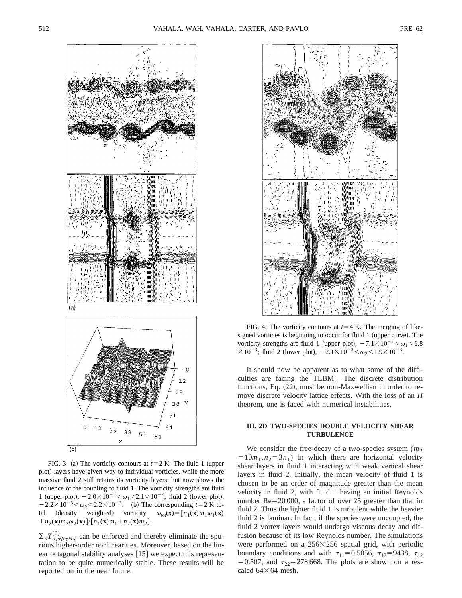

FIG. 3. (a) The vorticity contours at  $t=2$  K. The fluid 1 (upper plot) layers have given way to individual vorticies, while the more massive fluid 2 still retains its vorticity layers, but now shows the influence of the coupling to fluid 1. The vorticity strengths are fluid 1 (upper plot),  $-2.0\times10^{-2} < \omega_1 < 2.1\times10^{-2}$ ; fluid 2 (lower plot),  $-2.2 \times 10^{-3} < \omega_2 < 2.2 \times 10^{-3}$ . (b) The corresponding  $t=2$  K total (density weighted) vorticity  $\omega_{\text{tot}}(\mathbf{x}) = [n_1(\mathbf{x})m_1\omega_1(\mathbf{x})]$  $+n_2(\mathbf{x})m_2\omega_2(\mathbf{x})$   $]/[n_1(\mathbf{x})m_1+n_2(\mathbf{x})m_2]$ .

 $\sum_{p} T^{(6)}_{p,\alpha\beta\gamma\delta\epsilon\zeta}$  can be enforced and thereby eliminate the spurious higher-order nonlinearities. Moreover, based on the linear octagonal stability analyses  $[15]$  we expect this representation to be quite numerically stable. These results will be reported on in the near future.



FIG. 4. The vorticity contours at  $t=4$  K. The merging of likesigned vorticies is beginning to occur for fluid 1 (upper curve). The vorticity strengths are fluid 1 (upper plot),  $-7.1 \times 10^{-3} < \omega_1 < 6.8$  $\times 10^{-3}$ ; fluid 2 (lower plot),  $-2.1\times 10^{-3} < \omega_2 < 1.9\times 10^{-3}$ .

It should now be apparent as to what some of the difficulties are facing the TLBM: The discrete distribution functions, Eq.  $(22)$ , must be non-Maxwellian in order to remove discrete velocity lattice effects. With the loss of an *H* theorem, one is faced with numerical instabilities.

#### **III. 2D TWO-SPECIES DOUBLE VELOCITY SHEAR TURBULENCE**

We consider the free-decay of a two-species system  $(m<sub>2</sub>)$  $=10m_1, n_2=3n_1$ ) in which there are horizontal velocity shear layers in fluid 1 interacting with weak vertical shear layers in fluid 2. Initially, the mean velocity of fluid 1 is chosen to be an order of magnitude greater than the mean velocity in fluid 2, with fluid 1 having an initial Reynolds number  $Re=20 000$ , a factor of over 25 greater than that in fluid 2. Thus the lighter fluid 1 is turbulent while the heavier fluid 2 is laminar. In fact, if the species were uncoupled, the fluid 2 vortex layers would undergo viscous decay and diffusion because of its low Reynolds number. The simulations were performed on a  $256\times256$  spatial grid, with periodic boundary conditions and with  $\tau_{11}=0.5056$ ,  $\tau_{12}=9438$ ,  $\tau_{12}$ = 0.507, and  $\tau_{22}$ = 278 668. The plots are shown on a rescaled  $64\times64$  mesh.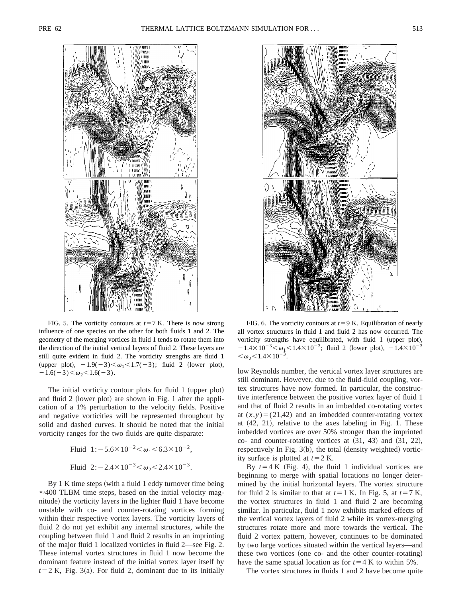

FIG. 5. The vorticity contours at  $t=7$  K. There is now strong influence of one species on the other for both fluids 1 and 2. The geometry of the merging vortices in fluid 1 tends to rotate them into the direction of the initial vertical layers of fluid 2. These layers are still quite evident in fluid 2. The vorticity strengths are fluid 1 (upper plot),  $-1.9(-3) < \omega_1 < 1.7(-3)$ ; fluid 2 (lower plot),  $-1.6(-3)<\omega_2<1.6(-3).$ 

The initial vorticity contour plots for fluid 1 (upper plot) and fluid 2 (lower plot) are shown in Fig. 1 after the application of a 1% perturbation to the velocity fields. Positive and negative vorticities will be represented throughout by solid and dashed curves. It should be noted that the initial vorticity ranges for the two fluids are quite disparate:

$$
Fluid 1:- 5.6×10-2 < ω1 < 6.3×10-2,
$$
\n
$$
Fluid 2:-2.4×10-3 < ω2 < 2.4×10-3.
$$

By 1 K time steps (with a fluid 1 eddy turnover time being  $\approx$  400 TLBM time steps, based on the initial velocity magnitude) the vorticity layers in the lighter fluid 1 have become unstable with co- and counter-rotating vortices forming within their respective vortex layers. The vorticity layers of fluid 2 do not yet exhibit any internal structures, while the coupling between fluid 1 and fluid 2 results in an imprinting of the major fluid 1 localized vorticies in fluid 2—see Fig. 2. These internal vortex structures in fluid 1 now become the dominant feature instead of the initial vortex layer itself by  $t=2$  K, Fig. 3(a). For fluid 2, dominant due to its initially



FIG. 6. The vorticity contours at  $t=9$  K. Equilibration of nearly all vortex structures in fluid 1 and fluid 2 has now occurred. The vorticity strengths have equilibrated, with fluid 1 (upper plot),  $-1.4\times10^{-3}$   $< \omega_1$   $< 1.4\times10^{-3}$ ; fluid 2 (lower plot),  $-1.4\times10^{-3}$  $<\omega_2$  $<$ 1.4 $\times$ 10<sup>-3</sup>.

low Reynolds number, the vertical vortex layer structures are still dominant. However, due to the fluid-fluid coupling, vortex structures have now formed. In particular, the constructive interference between the positive vortex layer of fluid 1 and that of fluid 2 results in an imbedded co-rotating vortex at  $(x, y) = (21, 42)$  and an imbedded counter-rotating vortex at  $(42, 21)$ , relative to the axes labeling in Fig. 1. These imbedded vortices are over 50% stronger than the imprinted  $co-$  and counter-rotating vortices at  $(31, 43)$  and  $(31, 22)$ , respectively In Fig.  $3(b)$ , the total (density weighted) vorticity surface is plotted at  $t=2$  K.

By  $t=4 K$  (Fig. 4), the fluid 1 individual vortices are beginning to merge with spatial locations no longer determined by the initial horizontal layers. The vortex structure for fluid 2 is similar to that at  $t=1$  K. In Fig. 5, at  $t=7$  K, the vortex structures in fluid 1 and fluid 2 are becoming similar. In particular, fluid 1 now exhibits marked effects of the vertical vortex layers of fluid 2 while its vortex-merging structures rotate more and more towards the vertical. The fluid 2 vortex pattern, however, continues to be dominated by two large vortices situated within the vertical layers—and these two vortices (one co- and the other counter-rotating) have the same spatial location as for  $t=4$  K to within 5%.

The vortex structures in fluids 1 and 2 have become quite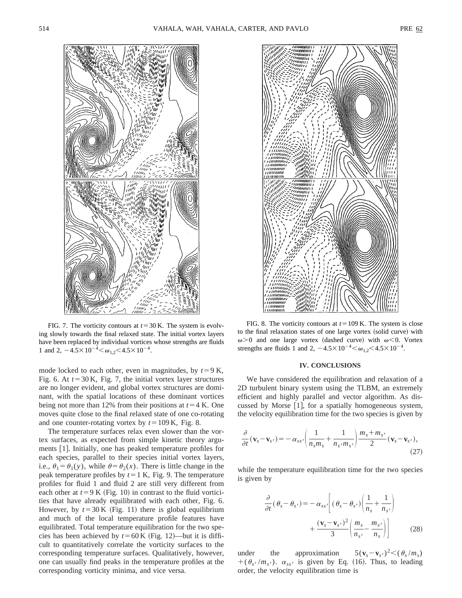

FIG. 7. The vorticity contours at  $t=30$  K. The system is evolving slowly towards the final relaxed state. The initial vortex layers have been replaced by individual vortices whose strengths are fluids 1 and 2,  $-4.5 \times 10^{-4} < \omega_{1,2} < 4.5 \times 10^{-4}$ .

mode locked to each other, even in magnitudes, by  $t=9$  K, Fig. 6. At  $t=30$  K, Fig. 7, the initial vortex layer structures are no longer evident, and global vortex structures are dominant, with the spatial locations of these dominant vortices being not more than 12% from their positions at  $t=4$  K. One moves quite close to the final relaxed state of one co-rotating and one counter-rotating vortex by  $t=109$  K, Fig. 8.

The temperature surfaces relax even slower than the vortex surfaces, as expected from simple kinetic theory arguments [1]. Initially, one has peaked temperature profiles for each species, parallel to their species initial vortex layers, i.e.,  $\theta_1 = \theta_1(y)$ , while  $\theta = \theta_2(x)$ . There is little change in the peak temperature profiles by  $t=1$  K, Fig. 9. The temperature profiles for fluid 1 and fluid 2 are still very different from each other at  $t=9$  K (Fig. 10) in contrast to the fluid vorticities that have already equilibrated with each other, Fig. 6. However, by  $t=30$  K (Fig. 11) there is global equilibrium and much of the local temperature profile features have equilibrated. Total temperature equilibration for the two species has been achieved by  $t=60$  K (Fig. 12)—but it is difficult to quantitatively correlate the vorticity surfaces to the corresponding temperature surfaces. Qualitatively, however, one can usually find peaks in the temperature profiles at the corresponding vorticity minima, and vice versa.



FIG. 8. The vorticity contours at  $t = 109$  K. The system is close to the final relaxation states of one large vortex (solid curve) with  $\omega$  > 0 and one large vortex (dashed curve) with  $\omega$  < 0. Vortex strengths are fluids 1 and 2,  $-4.5\times10^{-4} < \omega_{1,2} < 4.5\times10^{-4}$ .

#### **IV. CONCLUSIONS**

We have considered the equilibration and relaxation of a 2D turbulent binary system using the TLBM, an extremely efficient and highly parallel and vector algorithm. As discussed by Morse  $[1]$ , for a spatially homogeneous system, the velocity equilibration time for the two species is given by

$$
\frac{\partial}{\partial t}(\mathbf{v}_s - \mathbf{v}_{s'}) = -\alpha_{ss'} \left( \frac{1}{n_s m_s} + \frac{1}{n_{s'} m_{s'}} \right) \frac{m_s + m_{s'}}{2} (\mathbf{v}_s - \mathbf{v}_{s'}),\tag{27}
$$

while the temperature equilibration time for the two species is given by

$$
\frac{\partial}{\partial t}(\theta_s - \theta_{s'}) = -\alpha_{ss'} \left[ (\theta_s - \theta_{s'}) \left( \frac{1}{n_s} + \frac{1}{n_{s'}} \right) + \frac{(\mathbf{v}_s - \mathbf{v}_{s'})^2}{3} \left( \frac{m_s}{n_{s'}} - \frac{m_{s'}}{n_s} \right) \right]
$$
(28)

under the approximation  $5(\mathbf{v}_s - \mathbf{v}_s)$  $5({\bf v}_s-{\bf v}_{s'})^2 < (\theta_s/m_s)$  $+( \theta_{s'} / m_{s'})$ .  $\alpha_{ss'}$  is given by Eq. (16). Thus, to leading order, the velocity equilibration time is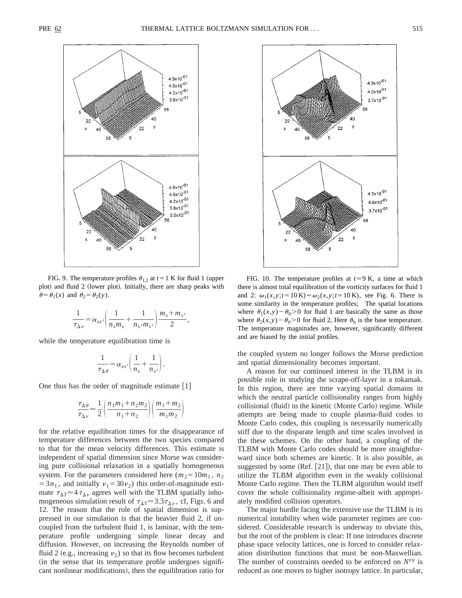

FIG. 9. The temperature profiles  $\theta_{1,2}$  at  $t=1$  K for fluid 1 (upper plot) and fluid 2 (lower plot). Initially, there are sharp peaks with  $\theta = \theta_1(x)$  and  $\theta_2 = \theta_2(y)$ .

$$
\frac{1}{\tau_{\Delta v}} = \alpha_{ss'} \left( \frac{1}{n_s m_s} + \frac{1}{n_s m_{s'}} \right) \frac{m_s + m_{s'}}{2},
$$

while the temperature equilibration time is

$$
\frac{1}{\tau_{\Delta\theta}} = \alpha_{ss'} \left( \frac{1}{n_s} + \frac{1}{n_{s'}} \right).
$$

One thus has the order of magnitude estimate  $[1]$ 

$$
\frac{\tau_{\Delta\theta}}{\tau_{\Delta\nu}} \approx \frac{1}{2} \left( \frac{n_1 m_1 + n_2 m_2}{n_1 + n_2} \right) \left( \frac{m_1 + m_2}{m_1 m_2} \right)
$$

for the relative equilibration times for the disappearance of temperature differences between the two species compared to that for the mean velocity differences. This estimate is independent of spatial dimension since Morse was considering pure collisional relaxation in a spatially homogeneous system. For the parameters considered here ( $m_2 = 10m_1$ ,  $n_2$ )  $=3n_1$ , and initially  $v_1=30v_2$ ) this order-of-magnitude estimate  $\tau_{\Delta T} \approx 4 \tau_{\Delta \nu}$  agrees well with the TLBM spatially inhomogeneous simulation result of  $\tau_{\Delta T} \approx 3.3 \tau_{\Delta \nu}$ , cf, Figs. 6 and 12. The reason that the role of spatial dimension is suppressed in our simulation is that the heavier fluid 2, if uncoupled from the turbulent fluid 1, is laminar, with the temperature profile undergoing simple linear decay and diffusion. However, on increasing the Reynolds number of fluid 2 (e.g., increasing  $v_2$ ) so that its flow becomes turbulent (in the sense that its temperature profile undergoes significant nonlinear modifications), then the equilibration ratio for



FIG. 10. The temperature profiles at  $t=9$  K, a time at which there is almost total equilibration of the vorticity surfaces for fluid 1 and 2:  $\omega_1(x, y; t = 10 \text{ K}) \approx \omega_2(x, y; t = 10 \text{ K})$ , see Fig. 6. There is some similarity in the temperature profiles; The spatial locations where  $\theta_1(x,y) - \theta_0 > 0$  for fluid 1 are basically the same as those where  $\theta_2(x,y) - \theta_0 > 0$  for fluid 2, Here  $\theta_0$  is the base temperature. The temperature magnitudes are, however, significantly different and are biased by the initial profiles.

the coupled system no longer follows the Morse prediction and spatial dimensionality becomes important.

A reason for our continued interest in the TLBM is its possible role in studying the scrape-off-layer in a tokamak. In this region, there are time varying spatial domains in which the neutral particle collisionality ranges from highly collisional (fluid) to the kinetic (Monte Carlo) regime. While attempts are being made to couple plasma-fluid codes to Monte Carlo codes, this coupling is necessarily numerically stiff due to the disparate length and time scales involved in the these schemes. On the other hand, a coupling of the TLBM with Monte Carlo codes should be more straightforward since both schemes are kinetic. It is also possible, as suggested by some  $(Ref. [21])$ , that one may be even able to utilize the TLBM algorithm even in the weakly collisional Monte Carlo regime. Then the TLBM algorithm would itself cover the whole collisionality regime-albeit with appropriately modified collision operators.

The major hurdle facing the extensive use the TLBM is its numerical instability when wide parameter regimes are considered. Considerable research is underway to obviate this, but the root of the problem is clear: If one introduces discrete phase space velocity lattices, one is forced to consider relaxation distribution functions that must be non-Maxwellian. The number of constraints needed to be enforced on  $N^{eq}$  is reduced as one moves to higher isotropy lattice. In particular,